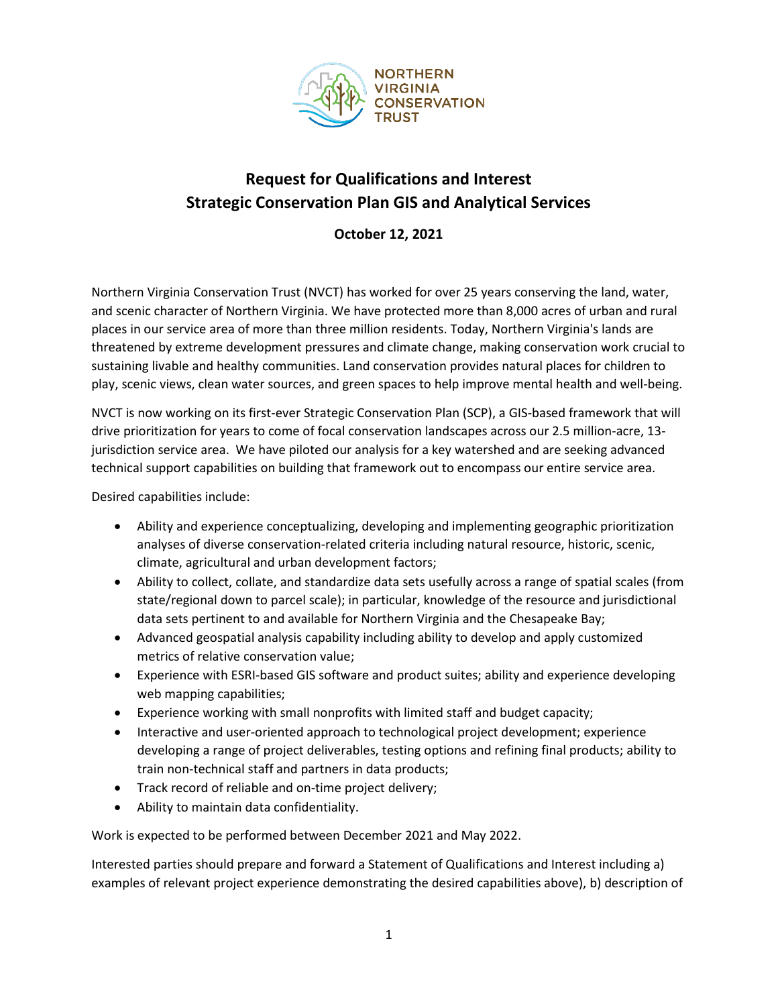

## **Request for Qualifications and Interest Strategic Conservation Plan GIS and Analytical Services**

**October 12, 2021**

Northern Virginia Conservation Trust (NVCT) has worked for over 25 years conserving the land, water, and scenic character of Northern Virginia. We have protected more than 8,000 acres of urban and rural places in our service area of more than three million residents. Today, Northern Virginia's lands are threatened by extreme development pressures and climate change, making conservation work crucial to sustaining livable and healthy communities. Land conservation provides natural places for children to play, scenic views, clean water sources, and green spaces to help improve mental health and well-being.

NVCT is now working on its first-ever Strategic Conservation Plan (SCP), a GIS-based framework that will drive prioritization for years to come of focal conservation landscapes across our 2.5 million-acre, 13 jurisdiction service area. We have piloted our analysis for a key watershed and are seeking advanced technical support capabilities on building that framework out to encompass our entire service area.

Desired capabilities include:

- Ability and experience conceptualizing, developing and implementing geographic prioritization analyses of diverse conservation-related criteria including natural resource, historic, scenic, climate, agricultural and urban development factors;
- Ability to collect, collate, and standardize data sets usefully across a range of spatial scales (from state/regional down to parcel scale); in particular, knowledge of the resource and jurisdictional data sets pertinent to and available for Northern Virginia and the Chesapeake Bay;
- Advanced geospatial analysis capability including ability to develop and apply customized metrics of relative conservation value;
- Experience with ESRI-based GIS software and product suites; ability and experience developing web mapping capabilities;
- Experience working with small nonprofits with limited staff and budget capacity;
- Interactive and user-oriented approach to technological project development; experience developing a range of project deliverables, testing options and refining final products; ability to train non-technical staff and partners in data products;
- Track record of reliable and on-time project delivery;
- Ability to maintain data confidentiality.

Work is expected to be performed between December 2021 and May 2022.

Interested parties should prepare and forward a Statement of Qualifications and Interest including a) examples of relevant project experience demonstrating the desired capabilities above), b) description of